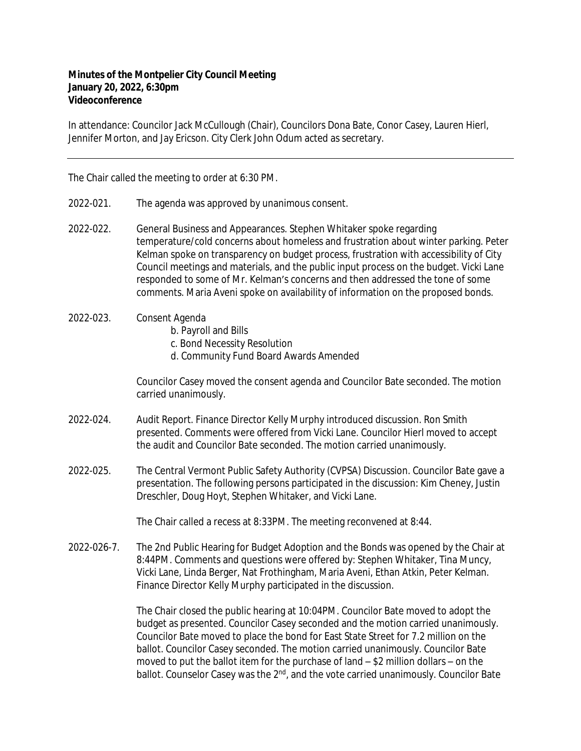## **Minutes of the Montpelier City Council Meeting January 20, 2022, 6:30pm Videoconference**

In attendance: Councilor Jack McCullough (Chair), Councilors Dona Bate, Conor Casey, Lauren Hierl, Jennifer Morton, and Jay Ericson. City Clerk John Odum acted as secretary.

The Chair called the meeting to order at 6:30 PM.

- 2022-021. The agenda was approved by unanimous consent.
- 2022-022. General Business and Appearances. Stephen Whitaker spoke regarding temperature/cold concerns about homeless and frustration about winter parking. Peter Kelman spoke on transparency on budget process, frustration with accessibility of City Council meetings and materials, and the public input process on the budget. Vicki Lane responded to some of Mr. Kelman's concerns and then addressed the tone of some comments. Maria Aveni spoke on availability of information on the proposed bonds.

## 2022-023. Consent Agenda

- b. Payroll and Bills
- c. Bond Necessity Resolution
- d. Community Fund Board Awards Amended

Councilor Casey moved the consent agenda and Councilor Bate seconded. The motion carried unanimously.

- 2022-024. Audit Report. Finance Director Kelly Murphy introduced discussion. Ron Smith presented. Comments were offered from Vicki Lane. Councilor Hierl moved to accept the audit and Councilor Bate seconded. The motion carried unanimously.
- 2022-025. The Central Vermont Public Safety Authority (CVPSA) Discussion. Councilor Bate gave a presentation. The following persons participated in the discussion: Kim Cheney, Justin Dreschler, Doug Hoyt, Stephen Whitaker, and Vicki Lane.

The Chair called a recess at 8:33PM. The meeting reconvened at 8:44.

2022-026-7. The 2nd Public Hearing for Budget Adoption and the Bonds was opened by the Chair at 8:44PM. Comments and questions were offered by: Stephen Whitaker, Tina Muncy, Vicki Lane, Linda Berger, Nat Frothingham, Maria Aveni, Ethan Atkin, Peter Kelman. Finance Director Kelly Murphy participated in the discussion.

> The Chair closed the public hearing at 10:04PM. Councilor Bate moved to adopt the budget as presented. Councilor Casey seconded and the motion carried unanimously. Councilor Bate moved to place the bond for East State Street for 7.2 million on the ballot. Councilor Casey seconded. The motion carried unanimously. Councilor Bate moved to put the ballot item for the purchase of land – \$2 million dollars – on the ballot. Counselor Casey was the 2<sup>nd</sup>, and the vote carried unanimously. Councilor Bate